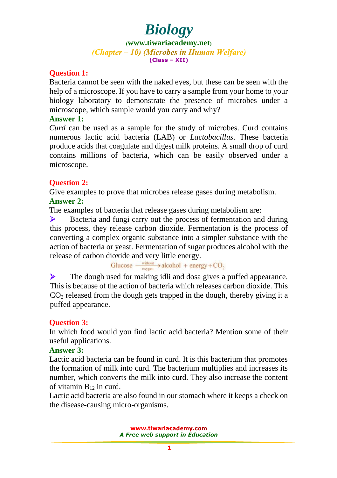**([www.tiwariacademy.net](http://www.tiwariacademy.net/))** (Chapter – 10) (Microbes in Human Welfare) **(Class – XII)**

#### **Question 1:**

Bacteria cannot be seen with the naked eyes, but these can be seen with the help of a microsc[ope. If you have to carr](www.tiwariacademy.com)y a sample from your home to your biology laboratory to demonstrate the presence of microbes under a microscope, which sample would you carry and why?

#### **Answer 1:**

*Curd* can be used as a sample for the study of microbes. Curd contains numerous lactic acid bacteria (LAB) or *Lactobacillus*. These bacteria produce acids that coagulate and digest milk proteins. A small drop of curd contains millions of bacteria, which can be easily observed under a microscope.

### **Question 2:**

Give examples to prove that microbes release gases during metabolism. **Answer 2:**

The examples of bacteria that release gases during metabolism are:

 Bacteria and fungi carry out the process of fermentation and during this process, they release carbon dioxide. Fermentation is the process of converting a complex organic substance into a simpler substance with the action of bacteria or yeast. Fermentation of sugar produces alcohol with the release of carbon dioxide and very little energy.<br>
Glucose  $\frac{\text{without}}{\text{oxygen}} \rightarrow \text{alcohol} + \text{energy} + \text{CO}_2$ 

 The dough used for making idli and dosa gives a puffed appearance. This is because of the action of bacteria which releases carbon dioxide. This  $CO<sub>2</sub>$  released from the dough gets trapped in the dough, thereby giving it a puffed appearance.

### **Question 3:**

In which food would you find lactic acid bacteria? Mention some of their useful applications.

### **Answer 3:**

Lactic acid bacteria can be found [in curd. It i](www.tiwariacademy.com)s this bacterium that promotes the formation of milk into curd. The bacterium multiplies and increases its number, which converts the milk into curd. They also increase the content of vitamin  $B_{12}$  in curd.

Lactic acid bacteria are also found in our stomach where it keeps a check on the disease-causing micro-organisms.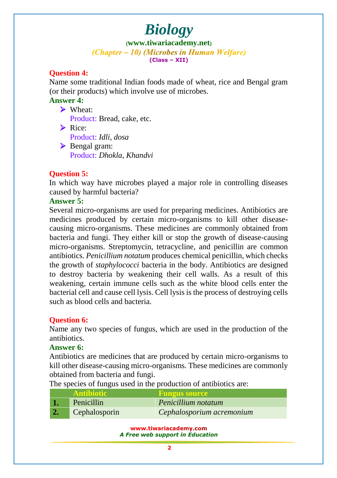**([www.tiwariacademy.net](http://www.tiwariacademy.net/))** (Chapter – 10) (Microbes in Human Welfare) **(Class – XII)**

# **Question 4:**

Name some traditional Indian foods made of wheat, rice and Bengal gram (or their products) which involve use of microbes.

### **Answer 4:**

▶ Wheat:

Product: Bread, cake, etc.

 $\triangleright$  Rice: Product: *Idli, dosa* Bengal gram: Product: *Dhokla, Khandvi*

# **Question 5:**

In which way have microbes played a major role in controlling diseases caused by harmful bacteria?

#### **Answer 5:**

Several micro-organisms are used for preparing medicines. Antibiotics are medicines produ[ced by certain micro-organism](www.tiwariacademy.com)s to kill other diseasecausing micro-organisms. These medicines are commonly obtained from bacteria and fungi. They either kill or stop the growth of disease-causing micro-organisms. Streptomycin, tetracycline, and penicillin are common antibiotics. *Penicillium notatum* produces chemical penicillin, which checks the growth of *staphylococci* bacteria in the body. Antibiotics are designed to destroy bacteria by weakening their cell walls. As a result of this weakening, certain immune cells such as the white blood cells enter the bacterial cell and cause cell lysis. Cell lysis is the process of destroying cells such as blood cells and bacteria.

### **Question 6:**

Name any two species of fungus, which are used in the production of the antibiotics.

### **Answer 6:**

Antibiotics are medicines that are produced by certain micro-organisms to kill other disease-causing micro-organisms. These medicines are commonly obtained from bacteria and fungi.

The species of fungus used in the production of antibiotics are:

|                  | <b>Antibiotic</b> | <b>Fungus source</b>      |
|------------------|-------------------|---------------------------|
|                  | Penicillin        | Penicillium notatum       |
| $\overline{2}$ . | Cephalosporin     | Cephalosporium acremonium |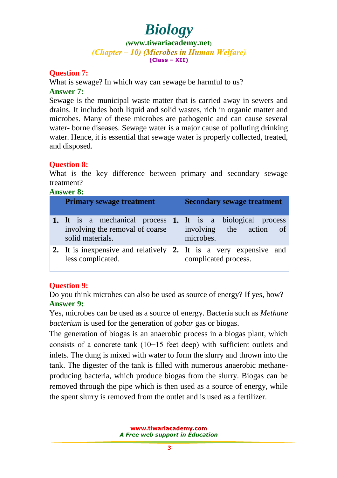**([www.tiwariacademy.net](http://www.tiwariacademy.net/))** (Chapter – 10) (Microbes in Human Welfare) **(Class – XII)**

### **Question 7:**

What is sewage? In which way can sewage be harmful to us? **Answer 7:**

Sewage is the municipal waste matter that is carried away in sewers and drains. It includes both liquid and solid wastes, rich in organic matter and microbes. Many of these microbes are pathogenic and can cause several water- borne diseases. Sewage water is a major cause of polluting drinking water. Hence, it is essential that sewage water is properly collected, treated, and disposed.

# **Question 8:**

What is the key difference between primary and secondary sewage treatment?

**Answer 8:**

| <b>Primary sewage treatment</b>                                                                                    |  | <b>Secondary sewage treatment</b>    |  |
|--------------------------------------------------------------------------------------------------------------------|--|--------------------------------------|--|
| 1. It is a mechanical process 1. It is a biological process<br>involving the removal of coarse<br>solid materials. |  | involving the action of<br>microbes. |  |
| 2. It is inexpensive and relatively 2. It is a very expensive and<br>less complicated.                             |  | complicated process.                 |  |

### **Question 9:**

Do you think microbes can also be used as source of energy? If yes, how? **Answer 9:**

Yes, microbes can be used as a source of energy. Bacteria such as *Methane bacterium* is used for the generation of *gobar* gas or biogas.

The generation of biogas is an anaerobic process in a biogas plant, which consists of a concrete tank (10−15 feet deep) with sufficient outlets and inlets. The dung is mixed with water to form the slurry and thrown into the tank. The digester of the tank is filled with numerous anaerobic methaneproducing bacteria, which produce biogas from the slurry. Biogas can be removed through the pipe which is then used as a source of energy, while the spent slurry is removed from the outlet and is used as a fertilizer.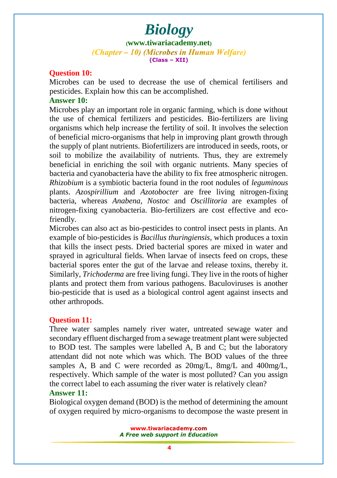**([www.tiwariacademy.net](http://www.tiwariacademy.net/))** (Chapter – 10) (Microbes in Human Welfare) **(Class – XII)**

#### **Question 10:**

Microbes can be used to decrease the use of chemical fertilisers and pesticides. Explain how this can be accomplished.

#### **Answer 10:**

Microbes play an important role in organic farming, which is done without the use of chemical fertilizers and pesticides. Bio-fertilizers are living organisms which help increase the fertility of soil. It involves the selection of benefi[cial micro-organisms that help in improving plant grow](www.tiwariacademy.com)th through the supply of plant nutrients. Biofertilizers are introduced in seeds, roots, or soil to mobilize the availability of nutrients. Thus, they are extremely beneficial in enriching the soil with organic nutrients. Many species of bacteria and cyanobacteria have the ability to fix free atmospheric nitrogen. *Rhizobium* is a symbiotic bacteria found in the root nodules of *leguminous* plants. *Azospirillium* and *Azotobocter* are free living nitrogen-fixing bacteria, whereas *Anabena, Nostoc* and *Oscillitoria* are examples of nitrogen-fixing cyanobacteria. Bio-fertilizers are cost effective and ecofriendly.

Microbes can also act as bio-pesticides to control insect pests in plants. An example of bio-pesticides is *Bacillus thuringiensis*, which produces a toxin that kills the insect pests. Dried bacterial spores are mixed in water and sprayed in agricultural fields. When larvae of insects feed on crops, these bacterial spores enter the gut of the larvae and release toxins, thereby it. Similarly, *Trichoderma* are free living fungi. They live in the roots of higher plants and protect them from various pathogens. Baculoviruses is another bio-pesticide that is used as a biological control agent against insects and other arthropods.

### **Question 11:**

Three water samples namely river water, untreated sewage water and secondary effluent discharged from a sewage treatment plant were subjected to BOD test. The samples were labelled A, B and C; but the laboratory attendant did not note which was which. The BOD values of the three samples A, B and C were recorded as 20mg/L, 8mg/L and 400mg/L, respectively. Which sample of the water is most polluted? Can you assign the correct label to each assuming the river water is relatively clean?

#### **Answer 11:**

Biological oxygen demand (BOD) is the method of determining the amount of oxygen required by micro-organisms to decompose the waste present in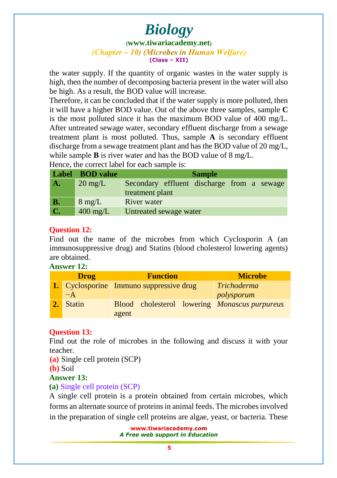#### **([www.tiwariacademy.net](http://www.tiwariacademy.net/))** (Chapter – 10) (Microbes in Human Welfare) **(Class – XII)**

the water supply. If the quantity of organic wastes in the water supply is high, then the number of decomposing bacteria present in the water will also be high. As a result, the BOD value will increase.

Therefore, it can be concluded that if the water supply is more polluted, then it will have a higher BOD value. Out of the above three samples, sample **C** is the most polluted since it has the maximum BOD value of 400 mg/L. After untreated sewage water, secondary effluent discharge from a sewage treatment plant is most polluted. Thus, sample **A** is secondary effluent discharge from a sewage treatment plant and has the BOD value of 20 mg/L, while sample **B** is river water and has the BOD value of 8 mg/L. Hence, the correct label for each sample is:

|                | Label BOD value    | <b>Sample</b>                              |  |  |  |  |  |
|----------------|--------------------|--------------------------------------------|--|--|--|--|--|
| ${\bf A}$ .    | $20 \text{ mg/L}$  | Secondary effluent discharge from a sewage |  |  |  |  |  |
|                |                    | treatment plant                            |  |  |  |  |  |
| <b>B.</b>      | $8 \text{ mg/L}$   | <b>River</b> water                         |  |  |  |  |  |
| $\mathbf{C}$ . | $400 \text{ mg/L}$ | Untreated sewage water                     |  |  |  |  |  |

# **Question 12:**

Find out the name of the microbes from which Cyclosporin A (an immunosuppressive drug) and Statins (blood cholesterol lowering agents) are obtained.

#### **Answer 12:**

| <b>Drug</b> |               | <b>Function</b>                                      | <b>Microbe</b> |
|-------------|---------------|------------------------------------------------------|----------------|
|             |               | <b>1.</b> Cyclosporine Immuno suppressive drug       | Trichoderma    |
|             | $-A$          |                                                      | polysporum     |
|             | <b>Statin</b> | Blood cholesterol lowering <i>Monascus purpureus</i> |                |
|             |               | agent                                                |                |

# **Question 13:**

Find out the role of microbes in the following and discuss it with your teacher.

**(a)** Single cell protein (SCP)

**(b)** Soil

# **Answer 13:**

# **(a)** Single cell protein (SCP)

A single cell protein is a protein obtained from certain microbes, which forms an alternate source of proteins in animal feeds. The microbes involved in the preparation of single cell proteins are algae, yeast, or bacteria. These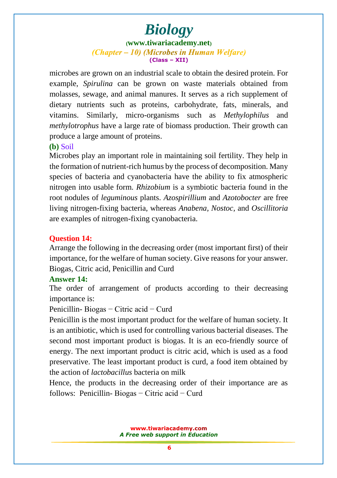# *Biology* **([www.tiwariacademy.net](http://www.tiwariacademy.net/))** (Chapter – 10) (Microbes in Human Welfare) **(Class – XII)**

microbes are grown on an industrial scale to obtain the desired protein. For example, *Spirulina* can be grown on waste materials obtained from molasses, sewage, and animal manures. It serves as a rich supplement of dietary nutri[ents such as proteins, carbohydrate, fats,](www.tiwariacademy.com) minerals, and vitamins. Similarly, micro-organisms such as *Methylophilus* and *methylotrophus* have a large rate of biomass production. Their growth can produce a large amount of proteins.

#### **(b)** Soil

Microbes play an important role in maintaining soil fertility. They help in the formation of nutrient-rich humus by the process of decomposition. Many species of bacteria and cyanobacteria have the ability to fix atmospheric nitrogen into usable form. *Rhizobium* is a symbiotic bacteria found in the root nodules of *leguminous* plants. *Azospirillium* and *Azotobocter* are free living nitrogen-fixing bacteria, whereas *Anabena, Nostoc,* and *Oscillitoria* are examples of nitrogen-fixing cyanobacteria.

#### **Question 14:**

Arrange the following in the decreasing order (most important first) of their importance, for the welfare of human society. Give reasons for your answer. Biogas, Citric acid, Penicillin and Curd

#### **Answer 14:**

The order of arrangement of products according to their decreasing importance is:

#### Penicillin- Biogas − Citric acid − Curd

Penicillin is the most important product for the welfare of human society. It is an antibiotic, which is used for controlling various bacterial diseases. The second most i[mportant product is biogas. It is an eco-fr](www.tiwariacademy.com)iendly source of energy. The next important product is citric acid, which is used as a food preservative. The least important product is curd, a food item obtained by the action of *lactobacillus* bacteria on milk

Hence, the products in the decreasing order of their importance are as follows: Penicillin- Biogas − Citric acid − Curd